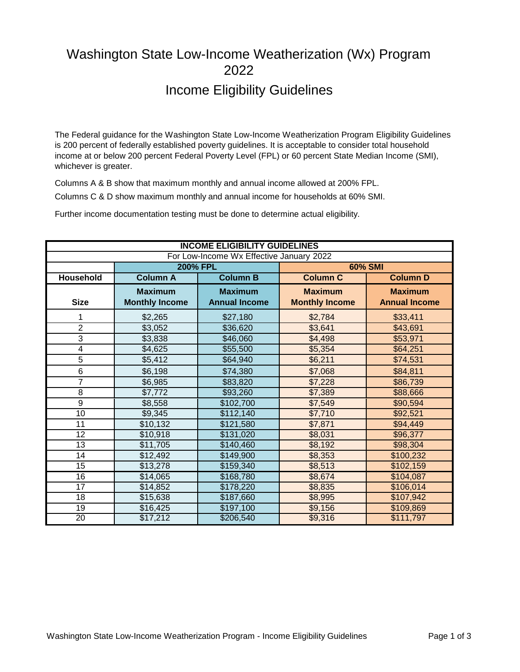## Washington State Low-Income Weatherization (Wx) Program 2022 Income Eligibility Guidelines

The Federal guidance for the Washington State Low-Income Weatherization Program Eligibility Guidelines is 200 percent of federally established poverty guidelines. It is acceptable to consider total household income at or below 200 percent Federal Poverty Level (FPL) or 60 percent State Median Income (SMI), whichever is greater.

Columns A & B show that maximum monthly and annual income allowed at 200% FPL. Columns C & D show maximum monthly and annual income for households at 60% SMI.

Further income documentation testing must be done to determine actual eligibility.

| <b>INCOME ELIGIBILITY GUIDELINES</b> |                                          |                      |                       |                      |  |  |  |  |  |  |  |  |  |  |
|--------------------------------------|------------------------------------------|----------------------|-----------------------|----------------------|--|--|--|--|--|--|--|--|--|--|
|                                      | For Low-Income Wx Effective January 2022 |                      |                       |                      |  |  |  |  |  |  |  |  |  |  |
|                                      | <b>200% FPL</b>                          |                      |                       | <b>60% SMI</b>       |  |  |  |  |  |  |  |  |  |  |
| <b>Household</b>                     | <b>Column A</b>                          | <b>Column B</b>      | <b>Column C</b>       | <b>Column D</b>      |  |  |  |  |  |  |  |  |  |  |
|                                      | <b>Maximum</b>                           | <b>Maximum</b>       | <b>Maximum</b>        | <b>Maximum</b>       |  |  |  |  |  |  |  |  |  |  |
| <b>Size</b>                          | <b>Monthly Income</b>                    | <b>Annual Income</b> | <b>Monthly Income</b> | <b>Annual Income</b> |  |  |  |  |  |  |  |  |  |  |
| 1                                    | \$2,265                                  | \$27,180             | \$2,784               | \$33,411             |  |  |  |  |  |  |  |  |  |  |
| $\overline{2}$                       | \$3,052                                  | \$36,620             | \$3,641               | \$43,691             |  |  |  |  |  |  |  |  |  |  |
| $\overline{3}$                       | \$3,838                                  | \$46,060             | \$4,498               | \$53,971             |  |  |  |  |  |  |  |  |  |  |
| $\overline{4}$                       | \$4,625                                  | \$55,500             | \$5,354               | \$64,251             |  |  |  |  |  |  |  |  |  |  |
| $\overline{5}$                       | \$5,412                                  | \$64,940             | \$6,211               | \$74,531             |  |  |  |  |  |  |  |  |  |  |
| 6                                    | \$6,198                                  | \$74,380             | \$7,068               | \$84,811             |  |  |  |  |  |  |  |  |  |  |
| $\overline{7}$                       | \$6,985                                  | \$83,820             | \$7,228               | \$86,739             |  |  |  |  |  |  |  |  |  |  |
| 8                                    | \$7,772                                  | \$93,260             | \$7,389               | \$88,666             |  |  |  |  |  |  |  |  |  |  |
| 9                                    | \$8,558                                  | \$102,700            | \$7,549               | \$90,594             |  |  |  |  |  |  |  |  |  |  |
| 10                                   | \$9,345                                  | \$112,140            | \$7,710               | \$92,521             |  |  |  |  |  |  |  |  |  |  |
| 11                                   | \$10,132                                 | \$121,580            | \$7,871               | \$94,449             |  |  |  |  |  |  |  |  |  |  |
| 12                                   | \$10,918                                 | \$131,020            | \$8,031               | \$96,377             |  |  |  |  |  |  |  |  |  |  |
| 13                                   | \$11,705                                 | \$140,460            | \$8,192               | \$98,304             |  |  |  |  |  |  |  |  |  |  |
| 14                                   | \$12,492                                 | \$149,900            | \$8,353               | \$100,232            |  |  |  |  |  |  |  |  |  |  |
| 15                                   | \$13,278                                 | \$159,340            | \$8,513               | \$102,159            |  |  |  |  |  |  |  |  |  |  |
| 16                                   | \$14,065                                 | \$168,780            | \$8,674               | \$104,087            |  |  |  |  |  |  |  |  |  |  |
| 17                                   | \$14,852                                 | \$178,220            | \$8,835               | \$106,014            |  |  |  |  |  |  |  |  |  |  |
| 18                                   | \$15,638                                 | \$187,660            | \$8,995               | \$107,942            |  |  |  |  |  |  |  |  |  |  |
| 19                                   | \$16,425                                 | \$197,100            | \$9,156               | \$109,869            |  |  |  |  |  |  |  |  |  |  |
| $\overline{20}$                      | \$17,212                                 | \$206,540            | \$9,316               | \$111,797            |  |  |  |  |  |  |  |  |  |  |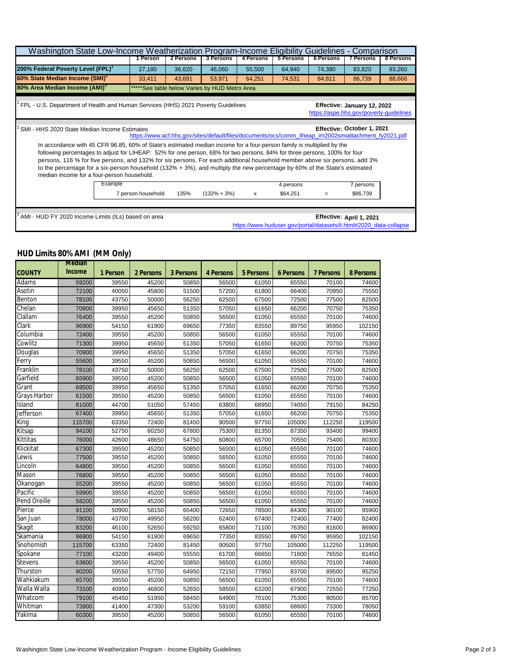| Washington State Low-Income Weatherization Program-Income Eligibility                                                                                                                                                                                                                                                                                                                                                                                                                                                                                      |                                                                                                                                 |          |           |           |           |           |                  | Guidelines - Comparison |           |  |  |  |  |
|------------------------------------------------------------------------------------------------------------------------------------------------------------------------------------------------------------------------------------------------------------------------------------------------------------------------------------------------------------------------------------------------------------------------------------------------------------------------------------------------------------------------------------------------------------|---------------------------------------------------------------------------------------------------------------------------------|----------|-----------|-----------|-----------|-----------|------------------|-------------------------|-----------|--|--|--|--|
|                                                                                                                                                                                                                                                                                                                                                                                                                                                                                                                                                            |                                                                                                                                 | 1 Person | 2 Persons | 3 Persons | 4 Persons | 5 Persons | <b>6 Persons</b> | <b>7 Persons</b>        | 8 Persons |  |  |  |  |
| 200% Federal Poverty Level (FPL) <sup>1</sup>                                                                                                                                                                                                                                                                                                                                                                                                                                                                                                              |                                                                                                                                 | 27,180   | 36,620    | 46,060    | 55,500    | 64,940    | 74,380           | 83,820                  | 93,260    |  |  |  |  |
| 60% State Median Income (SMI) <sup>2</sup>                                                                                                                                                                                                                                                                                                                                                                                                                                                                                                                 |                                                                                                                                 | 33,411   | 43,691    | 53,971    | 64,251    | 74,531    | 84,811           | 86,739                  | 88,666    |  |  |  |  |
| 80% Area Median Income (AMI) <sup>3</sup><br>*****See table below Varies by HUD Metro Area                                                                                                                                                                                                                                                                                                                                                                                                                                                                 |                                                                                                                                 |          |           |           |           |           |                  |                         |           |  |  |  |  |
| FPL - U.S. Department of Health and Human Services (HHS) 2021 Poverty Guidelines<br>Effective: January 12, 2022<br>https://aspe.hhs.gov/poverty-guidelines                                                                                                                                                                                                                                                                                                                                                                                                 |                                                                                                                                 |          |           |           |           |           |                  |                         |           |  |  |  |  |
| Effective: October 1, 2021<br>SMI - HHS 2020 State Median Income Estimates<br>https://www.acf.hhs.gov/sites/default/files/documents/ocs/comm_liheap_im2002smiattachment_fy2021.pdf                                                                                                                                                                                                                                                                                                                                                                         |                                                                                                                                 |          |           |           |           |           |                  |                         |           |  |  |  |  |
| In accordance with 45 CFR 96.85, 60% of State's estimated median income for a four-person family is multiplied by the<br>following percentages to adjust for LIHEAP: 52% for one person, 68% for two persons, 84% for three persons, 100% for four<br>persons, 116 % for five persons, and 132% for six persons. For each additional household member above six persons, add 3%<br>to the percentage for a six-person household (132% + 3%), and multiply the new percentage by 60% of the State's estimated<br>median income for a four-person household. |                                                                                                                                 |          |           |           |           |           |                  |                         |           |  |  |  |  |
|                                                                                                                                                                                                                                                                                                                                                                                                                                                                                                                                                            | Example<br>4 persons<br>7 persons<br>7 person household<br>$(132\% + 3\%)$<br>\$86,739<br>135%<br>\$64,251<br>$\mathsf{x}$<br>= |          |           |           |           |           |                  |                         |           |  |  |  |  |
|                                                                                                                                                                                                                                                                                                                                                                                                                                                                                                                                                            |                                                                                                                                 |          |           |           |           |           |                  |                         |           |  |  |  |  |
| AMI - HUD FY 2020 Income Limits (ILs) based on area<br>Effective: April 1, 2021<br>https://www.huduser.gov/portal/datasets/il.html#2020_data-collapse                                                                                                                                                                                                                                                                                                                                                                                                      |                                                                                                                                 |          |           |           |           |           |                  |                         |           |  |  |  |  |

## **HUD Limits 80% AMI (MM Only)**

|                     | <b>Median</b>           |          |           |                  |                  |                  |                  |                  |                  |
|---------------------|-------------------------|----------|-----------|------------------|------------------|------------------|------------------|------------------|------------------|
| <b>COUNTY</b>       | <b>Income</b>           | 1 Person | 2 Persons | <b>3 Persons</b> | <b>4 Persons</b> | <b>5 Persons</b> | <b>6 Persons</b> | <b>7 Persons</b> | <b>8 Persons</b> |
| Adams               | 59200                   | 39550    | 45200     | 50850            | 56500            | 61050            | 65550            | 70100            | 74600            |
| Asotin              | 72100                   | 40050    | 45800     | 51500            | 57200            | 61800            | 66400            | 70950            | 75550            |
| <b>Benton</b>       | 78100<br>70900<br>76400 |          | 50000     | 56250            | 62500            | 67500            | 72500            | 77500            | 82500            |
| Chelan              |                         | 39950    | 45650     | 51350            | 57050            | 61650            | 66200            | 70750            | 75350            |
| <b>Clallam</b>      |                         | 39550    | 45200     | 50850            | 56500            | 61050            | 65550            | 70100            | 74600            |
| Clark               | 96900                   | 54150    | 61900     | 69650            | 77350            | 83550            | 89750            | 95950            | 102150           |
| Columbia            | 72400                   | 39550    | 45200     | 50850            | 56500            | 61050            | 65550            | 70100            | 74600            |
| Cowlitz             | 71300                   | 39950    | 45650     | 51350            | 57050            | 61650            | 66200            | 70750            | 75350            |
| <b>Douglas</b>      | 70900                   | 39950    | 45650     | 51350            | 57050            | 61650            | 66200            | 70750            | 75350            |
| Ferry               | 55600                   | 39550    | 45200     | 50850            | 56500            | 61050            | 65550            | 70100            | 74600            |
| <b>Franklin</b>     | 78100                   | 43750    | 50000     | 56250            | 62500            | 67500            | 72500            | 77500            | 82500            |
| Garfield            | 65900                   | 39550    | 45200     | 50850            | 56500            | 61050            | 65550            | 70100            | 74600            |
| <b>Grant</b>        | 69500                   | 39950    | 45650     | 51350            | 57050            | 61650            | 66200            | 70750            | 75350            |
| <b>Grays Harbor</b> | 61500                   | 39550    | 45200     | 50850            | 56500            | 61050            | 65550            | 70100            | 74600            |
| <b>Island</b>       | 81000                   | 44700    | 51050     | 57450            | 63800            | 68950            | 74050            | 79150            | 84250            |
| <b>Jefferson</b>    | 67400                   | 39950    | 45650     | 51350            | 57050            | 61650            | 66200            | 70750            | 75350            |
| <b>King</b>         | 115700                  | 63350    | 72400     | 81450            | 90500            | 97750            | 105000           | 112250           | 119500           |
| Kitsap              | 94100                   | 52750    | 60250     | 67800            | 75300            | 81350            | 87350            | 93400            | 99400            |
| <b>Kittitas</b>     | 76000                   | 42600    | 48650     | 54750            | 60800            | 65700            | 70550            | 75400            | 80300            |
| Klickitat           | 67300                   | 39550    | 45200     | 50850            | 56500            | 61050            | 65550            | 70100            | 74600            |
| <b>Lewis</b>        | 77500                   | 39550    | 45200     | 50850            | 56500            | 61050            | 65550            | 70100            | 74600            |
| Lincoln             | 64800                   | 39550    | 45200     | 50850            | 56500            | 61050            | 65550            | 70100            | 74600            |
| <b>Mason</b>        | 76800                   | 39550    | 45200     | 50850            | 56500            | 61050            | 65550            | 70100            | 74600            |
| Okanogan            | 55200                   | 39550    | 45200     | 50850            | 56500            | 61050            | 65550            | 70100            | 74600            |
| Pacific             | 59900                   | 39550    | 45200     | 50850            | 56500            | 61050            | 65550            | 70100            | 74600            |
| <b>Pend Oreille</b> | 58200                   | 39550    | 45200     | 50850            | 56500            | 61050            | 65550            | 70100            | 74600            |
| Pierce              | 91100                   | 50900    | 58150     | 65400            | 72650            | 78500            | 84300            | 90100            | 95900            |
| San Juan            | 78000                   | 43700    | 49950     | 56200            | 62400            | 67400            | 72400            | 77400            | 82400            |
| Skagit              | 83200                   | 46100    | 52650     | 59250            | 65800            | 71100            | 76350            | 81600            | 86900            |
| Skamania            | 96900                   | 54150    | 61900     | 69650            | 77350            | 83550            | 89750            | 95950            | 102150           |
| Snohomish           | 115700                  | 63350    | 72400     | 81450            | 90500            | 97750            | 105000           | 112250           | 119500           |
| Spokane             | 77100                   | 43200    | 49400     | 55550            | 61700            | 66650            | 71600            | 76550            | 81450            |
| <b>Stevens</b>      | 63600                   | 39550    | 45200     | 50850            | 56500            | 61050            | 65550            | 70100            | 74600            |
| <b>Thurston</b>     | 90200                   | 50550    | 57750     | 64950            | 72150            | 77950            | 83700            | 89500            | 95250            |
| Wahkiakum           | 65700                   | 39550    | 45200     | 50850            | 56500            | 61050            | 65550            | 70100            | 74600            |
| Walla Walla         | 73100                   | 40950    | 46800     | 52650            | 58500            | 63200            | 67900            | 72550            | 77250            |
| Whatcom             | 79100                   | 45450    | 51950     | 58450            | 64900            | 70100            | 75300            | 80500            | 85700            |
| Whitman             | 73900                   | 41400    | 47300     | 53200            | 59100            | 63850            | 68600            | 73300            | 78050            |
| Yakima              | 60300                   | 39550    | 45200     | 50850            | 56500            | 61050            | 65550            | 70100            | 74600            |